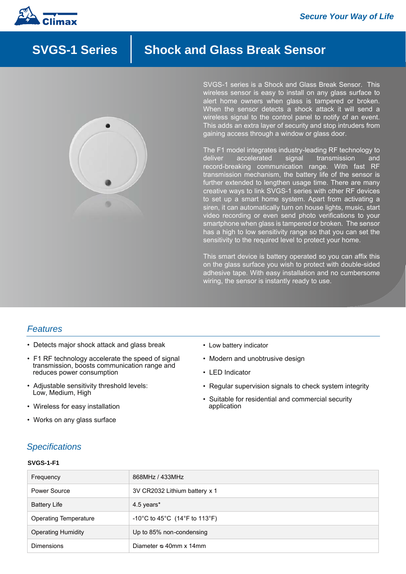

# **SVGS-1 Series | Shock and Glass Break Sensor**



SVGS-1 series is a Shock and Glass Break Sensor. This wireless sensor is easy to install on any glass surface to alert home owners when glass is tampered or broken. When the sensor detects a shock attack it will send a wireless signal to the control panel to notify of an event. This adds an extra layer of security and stop intruders from gaining access through a window or glass door.

The F1 model integrates industry-leading RF technology to deliver accelerated signal transmission and record-breaking communication range. With fast RF transmission mechanism, the battery life of the sensor is further extended to lengthen usage time. There are many creative ways to link SVGS-1 series with other RF devices to set up a smart home system. Apart from activating a siren, it can automatically turn on house lights, music, start video recording or even send photo verifications to your smartphone when glass is tampered or broken. The sensor has a high to low sensitivity range so that you can set the sensitivity to the required level to protect your home.

This smart device is battery operated so you can affix this on the glass surface you wish to protect with double-sided adhesive tape. With easy installation and no cumbersome wiring, the sensor is instantly ready to use.

### *Features*

- Detects major shock attack and glass break
- F1 RF technology accelerate the speed of signal transmission, boosts communication range and reduces power consumption
- Adjustable sensitivity threshold levels: Low, Medium, High
- Wireless for easy installation
- Works on any glass surface
- Low battery indicator
- Modern and unobtrusive design
- LED Indicator
- Regular supervision signals to check system integrity
- Suitable for residential and commercial security application

## *Specifications*

#### **SVGS-1-F1**

| Frequency                 | 868MHz / 433MHz               |
|---------------------------|-------------------------------|
| Power Source              | 3V CR2032 Lithium battery x 1 |
| <b>Battery Life</b>       | 4.5 years*                    |
| Operating Temperature     | -10°C to 45°C (14°F to 113°F) |
| <b>Operating Humidity</b> | Up to 85% non-condensing      |
| <b>Dimensions</b>         | Diameter $\infty$ 40mm x 14mm |